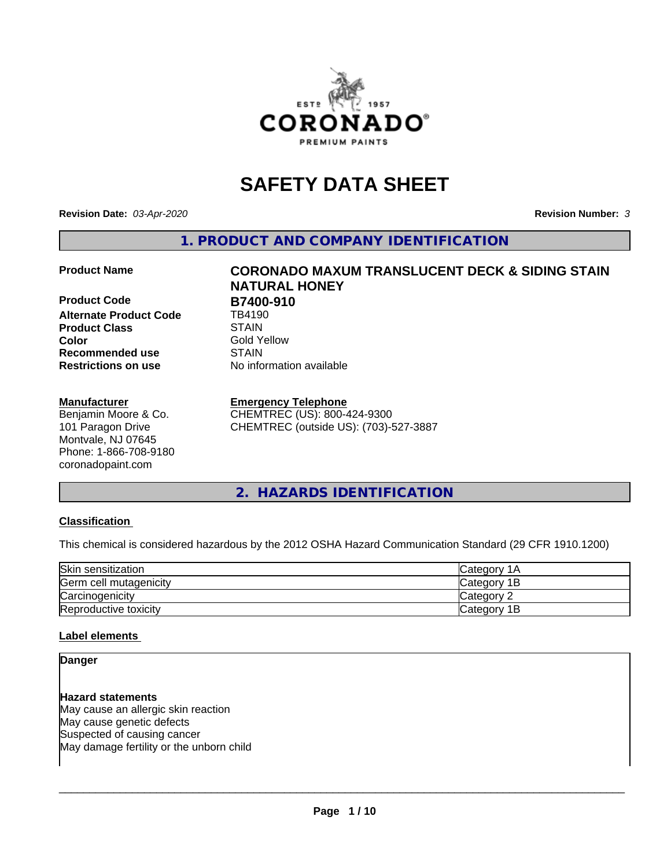

# **SAFETY DATA SHEET**

**Revision Date:** *03-Apr-2020* **Revision Number:** *3*

**1. PRODUCT AND COMPANY IDENTIFICATION**

**Product Code B7400-910**<br> **Alternate Product Code B4190 Alternate Product Code Product Class STAIN STAIN**<br> **Color** Gold Y **Recommended use STAIN Restrictions on use** No information available

#### **Manufacturer**

Benjamin Moore & Co. 101 Paragon Drive Montvale, NJ 07645 Phone: 1-866-708-9180 coronadopaint.com

# **Product Name CORONADO MAXUM TRANSLUCENT DECK & SIDING STAIN NATURAL HONEY Gold Yellow**

#### **Emergency Telephone**

CHEMTREC (US): 800-424-9300 CHEMTREC (outside US): (703)-527-3887

# **2. HAZARDS IDENTIFICATION**

#### **Classification**

This chemical is considered hazardous by the 2012 OSHA Hazard Communication Standard (29 CFR 1910.1200)

| Skin sensitization     | lCategory 1A |
|------------------------|--------------|
| Germ cell mutagenicity | Category 1B  |
| Carcinogenicity        | Category 2   |
| Reproductive toxicity  | Category 1B  |

#### **Label elements**

#### **Danger**

**Hazard statements** May cause an allergic skin reaction May cause genetic defects Suspected of causing cancer May damage fertility or the unborn child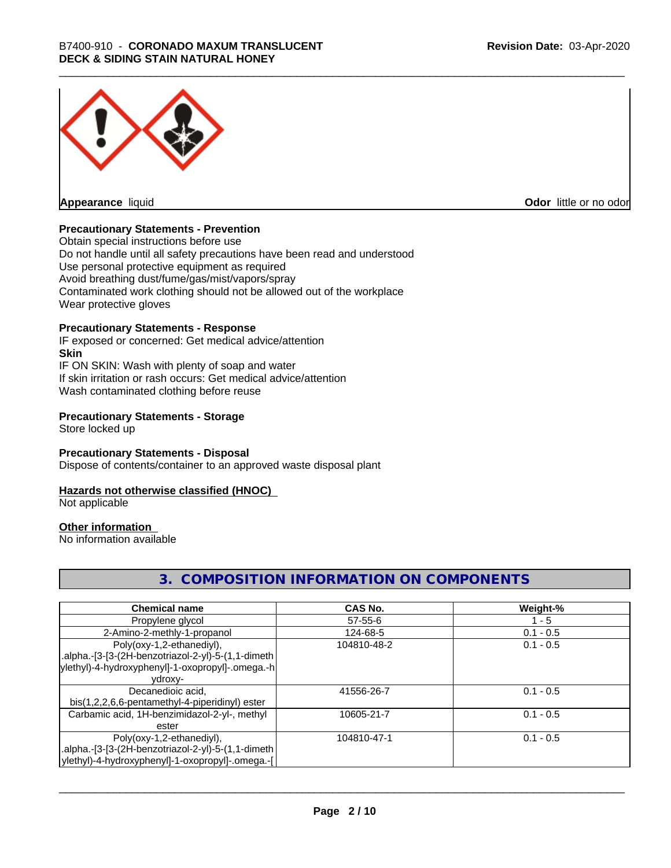

**Appearance** liquid

**Odor** little or no odor

#### **Precautionary Statements - Prevention**

Obtain special instructions before use Do not handle until all safety precautions have been read and understood Use personal protective equipment as required Avoid breathing dust/fume/gas/mist/vapors/spray Contaminated work clothing should not be allowed out of the workplace Wear protective gloves

# **Precautionary Statements - Response**

IF exposed or concerned: Get medical advice/attention **Skin** IF ON SKIN: Wash with plenty of soap and water If skin irritation or rash occurs: Get medical advice/attention Wash contaminated clothing before reuse

#### **Precautionary Statements - Storage**

Store locked up

#### **Precautionary Statements - Disposal**

Dispose of contents/container to an approved waste disposal plant

#### **Hazards not otherwise classified (HNOC)**

Not applicable

#### **Other information**

No information available

# **3. COMPOSITION INFORMATION ON COMPONENTS**

| <b>Chemical name</b>                               | CAS No.       | Weight-%    |
|----------------------------------------------------|---------------|-------------|
| Propylene glycol                                   | $57 - 55 - 6$ | $1 - 5$     |
| 2-Amino-2-methly-1-propanol                        | 124-68-5      | $0.1 - 0.5$ |
| Poly(oxy-1,2-ethanediyl),                          | 104810-48-2   | $0.1 - 0.5$ |
| .alpha.-[3-[3-(2H-benzotriazol-2-yl)-5-(1,1-dimeth |               |             |
| ylethyl)-4-hydroxyphenyl]-1-oxopropyl]-.omega.-h   |               |             |
| ydroxy-                                            |               |             |
| Decanedioic acid,                                  | 41556-26-7    | $0.1 - 0.5$ |
| bis(1,2,2,6,6-pentamethyl-4-piperidinyl) ester     |               |             |
| Carbamic acid, 1H-benzimidazol-2-yl-, methyl       | 10605-21-7    | $0.1 - 0.5$ |
| ester                                              |               |             |
| Poly(oxy-1,2-ethanediyl),                          | 104810-47-1   | $0.1 - 0.5$ |
| .alpha.-[3-[3-(2H-benzotriazol-2-yl)-5-(1,1-dimeth |               |             |
| ylethyl)-4-hydroxyphenyl]-1-oxopropyl]-.omega.-[   |               |             |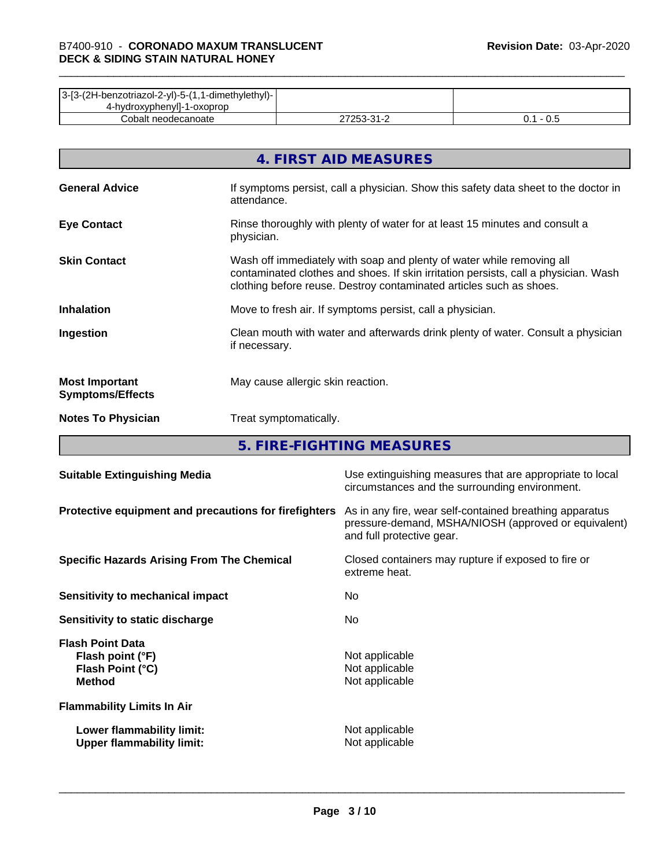| 3-[3-(2H-benzotriazol-2-yl)-5-(1,1-dimethylethyl)- |            |     |
|----------------------------------------------------|------------|-----|
| 4-hydroxyphenyll-1-oxoprop                         |            |     |
| Cobalt neodecanoate                                | ר בר<br>ີາ | v.J |

|                                                  | 4. FIRST AID MEASURES                                                                                                                                                                                                               |
|--------------------------------------------------|-------------------------------------------------------------------------------------------------------------------------------------------------------------------------------------------------------------------------------------|
| <b>General Advice</b>                            | If symptoms persist, call a physician. Show this safety data sheet to the doctor in<br>attendance.                                                                                                                                  |
| <b>Eye Contact</b>                               | Rinse thoroughly with plenty of water for at least 15 minutes and consult a<br>physician.                                                                                                                                           |
| <b>Skin Contact</b>                              | Wash off immediately with soap and plenty of water while removing all<br>contaminated clothes and shoes. If skin irritation persists, call a physician. Wash<br>clothing before reuse. Destroy contaminated articles such as shoes. |
| <b>Inhalation</b>                                | Move to fresh air. If symptoms persist, call a physician.                                                                                                                                                                           |
| Ingestion                                        | Clean mouth with water and afterwards drink plenty of water. Consult a physician<br>if necessary.                                                                                                                                   |
| <b>Most Important</b><br><b>Symptoms/Effects</b> | May cause allergic skin reaction.                                                                                                                                                                                                   |
| <b>Notes To Physician</b>                        | Treat symptomatically.                                                                                                                                                                                                              |

**5. FIRE-FIGHTING MEASURES**

| <b>Suitable Extinguishing Media</b>                                              | Use extinguishing measures that are appropriate to local<br>circumstances and the surrounding environment.                                   |
|----------------------------------------------------------------------------------|----------------------------------------------------------------------------------------------------------------------------------------------|
| Protective equipment and precautions for firefighters                            | As in any fire, wear self-contained breathing apparatus<br>pressure-demand, MSHA/NIOSH (approved or equivalent)<br>and full protective gear. |
| <b>Specific Hazards Arising From The Chemical</b>                                | Closed containers may rupture if exposed to fire or<br>extreme heat.                                                                         |
| Sensitivity to mechanical impact                                                 | No.                                                                                                                                          |
| Sensitivity to static discharge                                                  | No.                                                                                                                                          |
| <b>Flash Point Data</b><br>Flash point (°F)<br>Flash Point (°C)<br><b>Method</b> | Not applicable<br>Not applicable<br>Not applicable                                                                                           |
| <b>Flammability Limits In Air</b>                                                |                                                                                                                                              |
| Lower flammability limit:<br><b>Upper flammability limit:</b>                    | Not applicable<br>Not applicable                                                                                                             |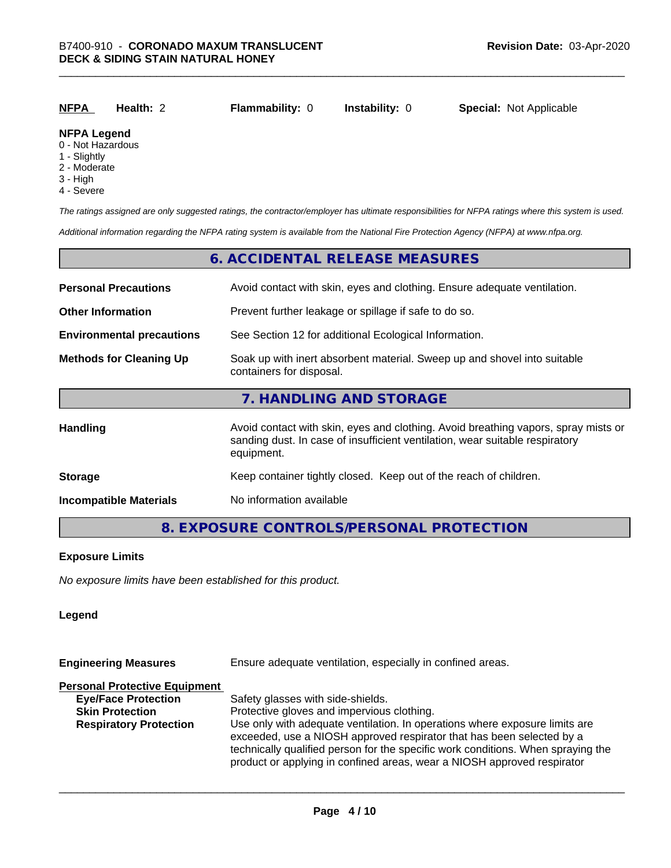| <b>NFPA</b>         | Health: 2 | <b>Flammability: 0</b> | <b>Instability: 0</b> | <b>Special: Not Applicable</b> |
|---------------------|-----------|------------------------|-----------------------|--------------------------------|
| <b>NIFRA LAMANA</b> |           |                        |                       |                                |

# **NFPA Legend**

- 0 Not Hazardous
- 1 Slightly
- 2 Moderate
- 3 High
- 4 Severe

*The ratings assigned are only suggested ratings, the contractor/employer has ultimate responsibilities for NFPA ratings where this system is used.*

*Additional information regarding the NFPA rating system is available from the National Fire Protection Agency (NFPA) at www.nfpa.org.*

#### **6. ACCIDENTAL RELEASE MEASURES**

| <b>Personal Precautions</b>      | Avoid contact with skin, eyes and clothing. Ensure adequate ventilation.                                                                                                         |  |  |
|----------------------------------|----------------------------------------------------------------------------------------------------------------------------------------------------------------------------------|--|--|
| <b>Other Information</b>         | Prevent further leakage or spillage if safe to do so.                                                                                                                            |  |  |
| <b>Environmental precautions</b> | See Section 12 for additional Ecological Information.                                                                                                                            |  |  |
| <b>Methods for Cleaning Up</b>   | Soak up with inert absorbent material. Sweep up and shovel into suitable<br>containers for disposal.                                                                             |  |  |
|                                  | 7. HANDLING AND STORAGE                                                                                                                                                          |  |  |
| Handling                         | Avoid contact with skin, eyes and clothing. Avoid breathing vapors, spray mists or<br>sanding dust. In case of insufficient ventilation, wear suitable respiratory<br>equipment. |  |  |
| <b>Storage</b>                   | Keep container tightly closed. Keep out of the reach of children.                                                                                                                |  |  |
| <b>Incompatible Materials</b>    | No information available                                                                                                                                                         |  |  |

# **8. EXPOSURE CONTROLS/PERSONAL PROTECTION**

#### **Exposure Limits**

*No exposure limits have been established for this product.*

#### **Legend**

| <b>Engineering Measures</b>          | Ensure adequate ventilation, especially in confined areas.                                                                                                                                                                                                                                                          |  |  |
|--------------------------------------|---------------------------------------------------------------------------------------------------------------------------------------------------------------------------------------------------------------------------------------------------------------------------------------------------------------------|--|--|
| <b>Personal Protective Equipment</b> |                                                                                                                                                                                                                                                                                                                     |  |  |
| <b>Eye/Face Protection</b>           | Safety glasses with side-shields.                                                                                                                                                                                                                                                                                   |  |  |
| <b>Skin Protection</b>               | Protective gloves and impervious clothing.                                                                                                                                                                                                                                                                          |  |  |
| <b>Respiratory Protection</b>        | Use only with adequate ventilation. In operations where exposure limits are<br>exceeded, use a NIOSH approved respirator that has been selected by a<br>technically qualified person for the specific work conditions. When spraying the<br>product or applying in confined areas, wear a NIOSH approved respirator |  |  |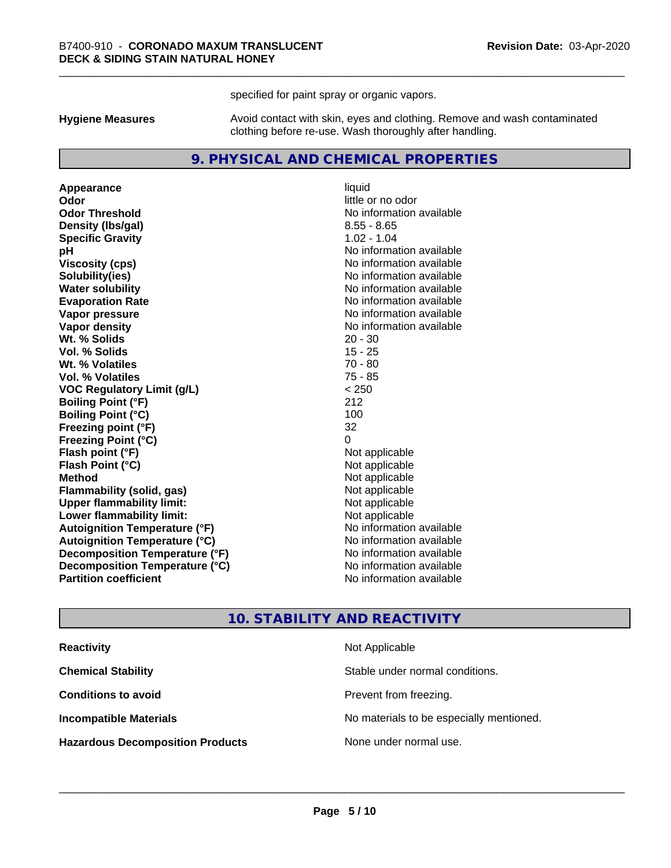specified for paint spray or organic vapors.

**Hygiene Measures** Avoid contact with skin, eyes and clothing. Remove and wash contaminated clothing before re-use. Wash thoroughly after handling.

#### **9. PHYSICAL AND CHEMICAL PROPERTIES**

**Appearance** liquid **Odor** little or no odor **Odor Threshold** No information available **Density (Ibs/gal)** 8.55 - 8.65 **Specific Gravity** 1.02 - 1.04 **pH** No information available **Viscosity (cps)** No information available **Solubility(ies)** No information available **Evaporation Rate No information available No information available Vapor pressure** No information available **Vapor density No information available No** information available **Wt. % Solids** 20 - 30 **Vol. % Solids** 15 - 25 **Wt. % Volatiles** 70 - 80 **Vol. % Volatiles** 75 - 85 **VOC Regulatory Limit (g/L)** < 250 **Boiling Point (°F)** 212 **Boiling Point (°C)** 100 **Freezing point (°F)** 32 **Freezing Point (°C)**<br> **Flash point (°F)**<br> **Flash point (°F)**<br> **Point (°F)**<br> **Point (°F)**<br> **Point (°F)**<br> **Point (°F)**<br> **Point (°F) Flash point (°F)**<br> **Flash Point (°C)**<br> **Flash Point (°C)**<br> **C Flash Point (°C) Method** Not applicable **Flammability (solid, gas)** Not applicable<br> **Upper flammability limit:** Not applicable **Upper flammability limit: Lower flammability limit:** Not applicable **Autoignition Temperature (°F)** No information available **Autoignition Temperature (°C)** No information available **Decomposition Temperature (°F)** No information available **Decomposition Temperature (°C)** No information available **Partition coefficient Contract Contract Contract Contract Contract Contract Contract Contract Contract Contract Contract Contract Contract Contract Contract Contract Contract Contract Contract Contract Contract Contract** 

**No information available** 

#### **10. STABILITY AND REACTIVITY**

| <b>Reactivity</b>                       | Not Applicable                           |
|-----------------------------------------|------------------------------------------|
| <b>Chemical Stability</b>               | Stable under normal conditions.          |
| <b>Conditions to avoid</b>              | Prevent from freezing.                   |
| <b>Incompatible Materials</b>           | No materials to be especially mentioned. |
| <b>Hazardous Decomposition Products</b> | None under normal use.                   |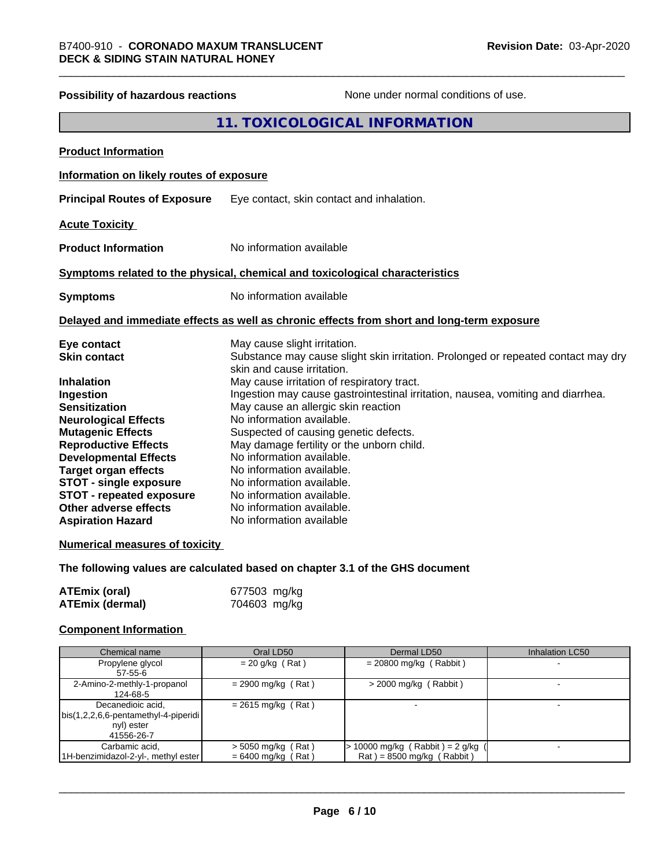| <b>Possibility of hazardous reactions</b> | None under normal conditions of use.                                                                            |
|-------------------------------------------|-----------------------------------------------------------------------------------------------------------------|
|                                           | 11. TOXICOLOGICAL INFORMATION                                                                                   |
| <b>Product Information</b>                |                                                                                                                 |
| Information on likely routes of exposure  |                                                                                                                 |
| <b>Principal Routes of Exposure</b>       | Eye contact, skin contact and inhalation.                                                                       |
| <b>Acute Toxicity</b>                     |                                                                                                                 |
| <b>Product Information</b>                | No information available                                                                                        |
|                                           | Symptoms related to the physical, chemical and toxicological characteristics                                    |
| <b>Symptoms</b>                           | No information available                                                                                        |
|                                           | Delayed and immediate effects as well as chronic effects from short and long-term exposure                      |
| Eye contact                               | May cause slight irritation.                                                                                    |
| <b>Skin contact</b>                       | Substance may cause slight skin irritation. Prolonged or repeated contact may dry<br>skin and cause irritation. |
| <b>Inhalation</b>                         | May cause irritation of respiratory tract.                                                                      |
| Ingestion                                 | Ingestion may cause gastrointestinal irritation, nausea, vomiting and diarrhea.                                 |
| <b>Sensitization</b>                      | May cause an allergic skin reaction                                                                             |
| <b>Neurological Effects</b>               | No information available.                                                                                       |
| <b>Mutagenic Effects</b>                  | Suspected of causing genetic defects.                                                                           |
| <b>Reproductive Effects</b>               | May damage fertility or the unborn child.                                                                       |
| <b>Developmental Effects</b>              | No information available.                                                                                       |
| <b>Target organ effects</b>               | No information available.                                                                                       |
| <b>STOT - single exposure</b>             | No information available.                                                                                       |
| <b>STOT - repeated exposure</b>           | No information available.                                                                                       |
| Other adverse effects                     | No information available.                                                                                       |
| <b>Aspiration Hazard</b>                  | No information available                                                                                        |
| <b>Numerical measures of toxicity</b>     |                                                                                                                 |
|                                           | The following values are calculated based on chapter 3.1 of the GHS document                                    |

| <b>ATEmix (oral)</b> | 677503 mg/kg |
|----------------------|--------------|
| ATEmix (dermal)      | 704603 mg/kg |

# **Component Information**

| Chemical name                                                                             | Oral LD50                                    | Dermal LD50                                                          | <b>Inhalation LC50</b> |
|-------------------------------------------------------------------------------------------|----------------------------------------------|----------------------------------------------------------------------|------------------------|
| Propylene glycol<br>57-55-6                                                               | $= 20$ g/kg (Rat)                            | $= 20800$ mg/kg (Rabbit)                                             |                        |
| 2-Amino-2-methly-1-propanol<br>124-68-5                                                   | $= 2900$ mg/kg (Rat)                         | $>$ 2000 mg/kg (Rabbit)                                              |                        |
| Decanedioic acid,<br>  bis(1,2,2,6,6-pentamethyl-4-piperidi  <br>nyl) ester<br>41556-26-7 | $= 2615$ mg/kg (Rat)                         |                                                                      |                        |
| Carbamic acid,<br>1H-benzimidazol-2-yl-, methyl ester                                     | $>$ 5050 mg/kg (Rat)<br>$= 6400$ mg/kg (Rat) | $\cdot$ 10000 mg/kg (Rabbit) = 2 g/kg<br>$Rat$ = 8500 mg/kg (Rabbit) |                        |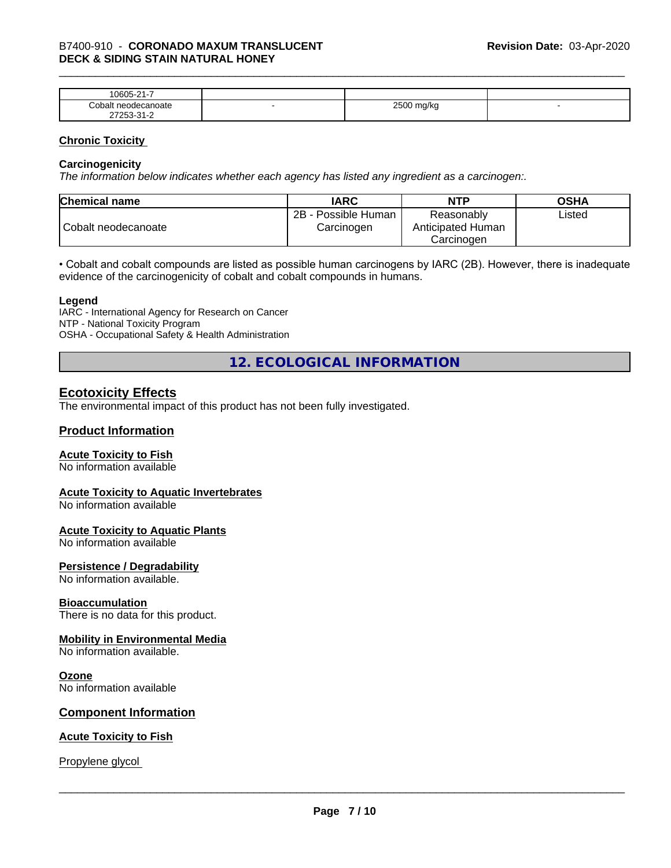| $\sim$<br>$\sim$ $\sim$ $\sim$<br>-<br>۱۲۱۱۰<br>.<br>. .                  |   |                        |  |
|---------------------------------------------------------------------------|---|------------------------|--|
| `∩h⊾<br>าoate                                                             | - | 0.500<br>W<br>- -<br>ີ |  |
| $\sim$<br>- ה<br>$ -$<br>$\sim$ $\sim$ $\sim$ $\sim$ $\sim$ $\sim$ $\sim$ |   |                        |  |

#### **Chronic Toxicity**

#### **Carcinogenicity**

*The information below indicateswhether each agency has listed any ingredient as a carcinogen:.*

| <b>Chemical name</b> | <b>IARC</b>                          | <b>NTP</b>                                    | <b>OSHA</b> |
|----------------------|--------------------------------------|-----------------------------------------------|-------------|
| Cobalt neodecanoate  | 2B<br>- Possible Human<br>Carcinogen | Reasonably<br>Anticipated Human<br>Carcinoɑen | ∟isted      |

• Cobalt and cobalt compounds are listed as possible human carcinogens by IARC (2B). However, there is inadequate evidence of the carcinogenicity of cobalt and cobalt compounds in humans.

#### **Legend**

IARC - International Agency for Research on Cancer NTP - National Toxicity Program OSHA - Occupational Safety & Health Administration

**12. ECOLOGICAL INFORMATION**

### **Ecotoxicity Effects**

The environmental impact of this product has not been fully investigated.

#### **Product Information**

#### **Acute Toxicity to Fish**

No information available

#### **Acute Toxicity to Aquatic Invertebrates**

No information available

#### **Acute Toxicity to Aquatic Plants**

No information available

#### **Persistence / Degradability**

No information available.

#### **Bioaccumulation**

There is no data for this product.

#### **Mobility in Environmental Media**

No information available.

#### **Ozone**

No information available

#### **Component Information**

#### **Acute Toxicity to Fish**

Propylene glycol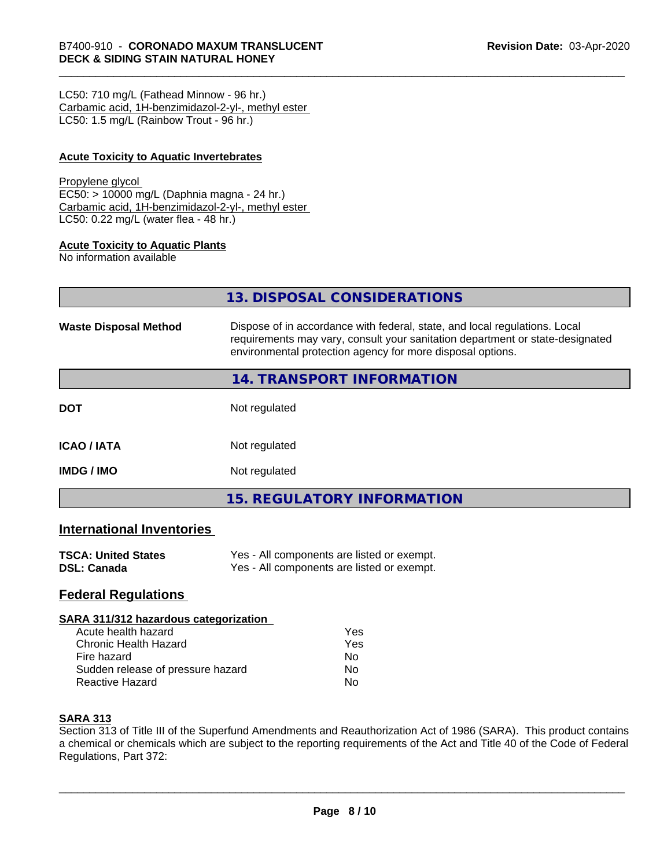LC50: 710 mg/L (Fathead Minnow - 96 hr.) Carbamic acid, 1H-benzimidazol-2-yl-, methyl ester LC50: 1.5 mg/L (Rainbow Trout - 96 hr.)

#### **Acute Toxicity to Aquatic Invertebrates**

#### Propylene glycol

EC50: > 10000 mg/L (Daphnia magna - 24 hr.) Carbamic acid, 1H-benzimidazol-2-yl-, methyl ester LC50: 0.22 mg/L (water flea - 48 hr.)

#### **Acute Toxicity to Aquatic Plants**

No information available

|                              | 13. DISPOSAL CONSIDERATIONS                                                                                                                                                                                               |
|------------------------------|---------------------------------------------------------------------------------------------------------------------------------------------------------------------------------------------------------------------------|
| <b>Waste Disposal Method</b> | Dispose of in accordance with federal, state, and local regulations. Local<br>requirements may vary, consult your sanitation department or state-designated<br>environmental protection agency for more disposal options. |
|                              | 14. TRANSPORT INFORMATION                                                                                                                                                                                                 |
| <b>DOT</b>                   | Not regulated                                                                                                                                                                                                             |
| ICAO / IATA                  | Not regulated                                                                                                                                                                                                             |
| IMDG / IMO                   | Not regulated                                                                                                                                                                                                             |

**15. REGULATORY INFORMATION**

# **International Inventories**

| <b>TSCA: United States</b> | Yes - All components are listed or exempt. |
|----------------------------|--------------------------------------------|
| DSL: Canada                | Yes - All components are listed or exempt. |

# **Federal Regulations**

#### **SARA 311/312 hazardous categorization**

| Acute health hazard               | Yes |  |
|-----------------------------------|-----|--|
| Chronic Health Hazard             | Yes |  |
| Fire hazard                       | N٥  |  |
| Sudden release of pressure hazard | N٥  |  |
| Reactive Hazard                   | N٥  |  |

#### **SARA 313**

Section 313 of Title III of the Superfund Amendments and Reauthorization Act of 1986 (SARA). This product contains a chemical or chemicals which are subject to the reporting requirements of the Act and Title 40 of the Code of Federal Regulations, Part 372: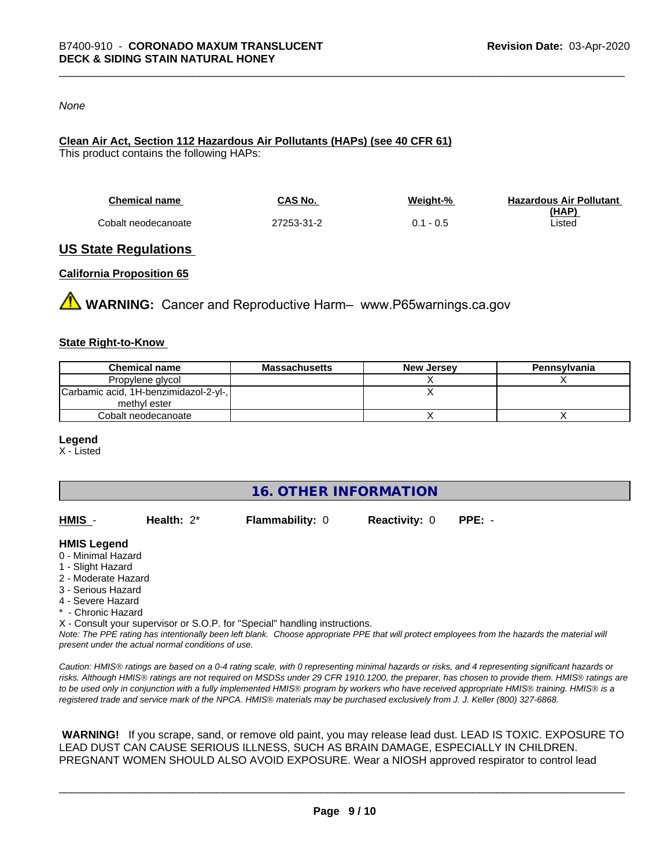#### *None*

# **Clean Air Act,Section 112 Hazardous Air Pollutants (HAPs) (see 40 CFR 61)**

This product contains the following HAPs:

| <b>Chemical name</b> | CAS No.    | Weiaht-%    | <b>Hazardous Air Pollutant</b> |
|----------------------|------------|-------------|--------------------------------|
|                      |            |             | (HAP)                          |
| Cobalt neodecanoate  | 27253-31-2 | $0.1 - 0.5$ | ∟isted                         |

### **US State Regulations**

#### **California Proposition 65**

**WARNING:** Cancer and Reproductive Harm– www.P65warnings.ca.gov

#### **State Right-to-Know**

| <b>Chemical name</b>                  | Massachusetts | <b>New Jersey</b> | Pennsylvania |
|---------------------------------------|---------------|-------------------|--------------|
| Propylene glycol                      |               |                   |              |
| Carbamic acid, 1H-benzimidazol-2-yl-, |               |                   |              |
| methyl ester                          |               |                   |              |
| Cobalt neodecanoate                   |               |                   |              |

#### **Legend**

X - Listed

**16. OTHER INFORMATION**

| HMIS | Health: $2^*$ | <b>Flammability: 0</b> | <b>Reactivity: 0</b> | PPE: - |
|------|---------------|------------------------|----------------------|--------|
|      |               |                        |                      |        |

#### **HMIS Legend**

- 0 Minimal Hazard
- 1 Slight Hazard
- 2 Moderate Hazard
- 3 Serious Hazard
- 4 Severe Hazard
- \* Chronic Hazard
- X Consult your supervisor or S.O.P. for "Special" handling instructions.

*Note: The PPE rating has intentionally been left blank. Choose appropriate PPE that will protect employees from the hazards the material will present under the actual normal conditions of use.*

*Caution: HMISÒ ratings are based on a 0-4 rating scale, with 0 representing minimal hazards or risks, and 4 representing significant hazards or risks. Although HMISÒ ratings are not required on MSDSs under 29 CFR 1910.1200, the preparer, has chosen to provide them. HMISÒ ratings are to be used only in conjunction with a fully implemented HMISÒ program by workers who have received appropriate HMISÒ training. HMISÒ is a registered trade and service mark of the NPCA. HMISÒ materials may be purchased exclusively from J. J. Keller (800) 327-6868.*

 **WARNING!** If you scrape, sand, or remove old paint, you may release lead dust. LEAD IS TOXIC. EXPOSURE TO LEAD DUST CAN CAUSE SERIOUS ILLNESS, SUCH AS BRAIN DAMAGE, ESPECIALLY IN CHILDREN. PREGNANT WOMEN SHOULD ALSO AVOID EXPOSURE.Wear a NIOSH approved respirator to control lead